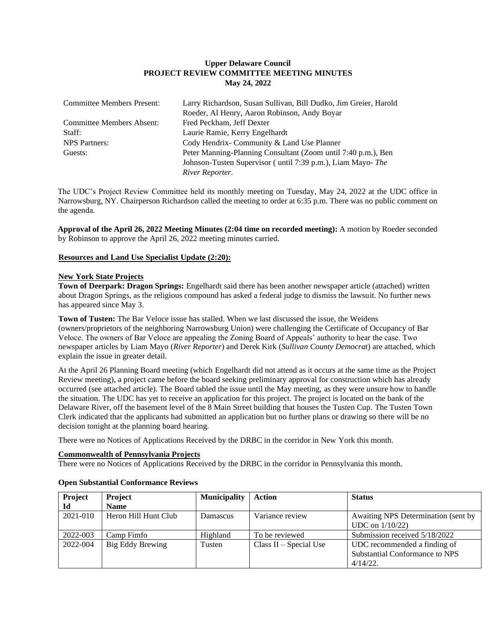# **Upper Delaware Council PROJECT REVIEW COMMITTEE MEETING MINUTES May 24, 2022**

| <b>Committee Members Present:</b> | Larry Richardson, Susan Sullivan, Bill Dudko, Jim Greier, Harold |  |  |  |
|-----------------------------------|------------------------------------------------------------------|--|--|--|
|                                   | Roeder, Al Henry, Aaron Robinson, Andy Boyar                     |  |  |  |
| <b>Committee Members Absent:</b>  | Fred Peckham, Jeff Dexter                                        |  |  |  |
| Staff:                            | Laurie Ramie, Kerry Engelhardt                                   |  |  |  |
| <b>NPS</b> Partners:              | Cody Hendrix-Community & Land Use Planner                        |  |  |  |
| Guests:                           | Peter Manning-Planning Consultant (Zoom until 7:40 p.m.), Ben    |  |  |  |
|                                   | Johnson-Tusten Supervisor (until 7:39 p.m.), Liam Mayo- The      |  |  |  |
|                                   | River Reporter.                                                  |  |  |  |

The UDC's Project Review Committee held its monthly meeting on Tuesday, May 24, 2022 at the UDC office in Narrowsburg, NY. Chairperson Richardson called the meeting to order at 6:35 p.m. There was no public comment on the agenda.

**Approval of the April 26, 2022 Meeting Minutes (2:04 time on recorded meeting):** A motion by Roeder seconded by Robinson to approve the April 26, 2022 meeting minutes carried.

## **Resources and Land Use Specialist Update (2:20):**

#### **New York State Projects**

**Town of Deerpark: Dragon Springs:** Engelhardt said there has been another newspaper article (attached) written about Dragon Springs, as the religious compound has asked a federal judge to dismiss the lawsuit. No further news has appeared since May 3.

**Town of Tusten:** The Bar Veloce issue has stalled. When we last discussed the issue, the Weidens (owners/proprietors of the neighboring Narrowsburg Union) were challenging the Certificate of Occupancy of Bar Veloce. The owners of Bar Veloce are appealing the Zoning Board of Appeals' authority to hear the case. Two newspaper articles by Liam Mayo (*River Reporter*) and Derek Kirk (*Sullivan County Democrat*) are attached, which explain the issue in greater detail.

At the April 26 Planning Board meeting (which Engelhardt did not attend as it occurs at the same time as the Project Review meeting), a project came before the board seeking preliminary approval for construction which has already occurred (see attached article). The Board tabled the issue until the May meeting, as they were unsure how to handle the situation. The UDC has yet to receive an application for this project. The project is located on the bank of the Delaware River, off the basement level of the 8 Main Street building that houses the Tusten Cup. The Tusten Town Clerk indicated that the applicants had submitted an application but no further plans or drawing so there will be no decision tonight at the planning board hearing.

There were no Notices of Applications Received by the DRBC in the corridor in New York this month.

## **Commonwealth of Pennsylvania Projects**

There were no Notices of Applications Received by the DRBC in the corridor in Pennsylvania this month.

| <b>Project</b> | <b>Project</b>       | <b>Municipality</b> | <b>Action</b>            | <b>Status</b>                       |
|----------------|----------------------|---------------------|--------------------------|-------------------------------------|
| Ы              | <b>Name</b>          |                     |                          |                                     |
| 2021-010       | Heron Hill Hunt Club | <b>Damascus</b>     | Variance review          | Awaiting NPS Determination (sent by |
|                |                      |                     |                          | UDC on $1/10/22$ )                  |
| 2022-003       | Camp Fimfo           | Highland            | To be reviewed           | Submission received 5/18/2022       |
| 2022-004       | Big Eddy Brewing     | Tusten              | $Class II - Special Use$ | UDC recommended a finding of        |
|                |                      |                     |                          | Substantial Conformance to NPS      |
|                |                      |                     |                          | $4/14/22$ .                         |

#### **Open Substantial Conformance Reviews**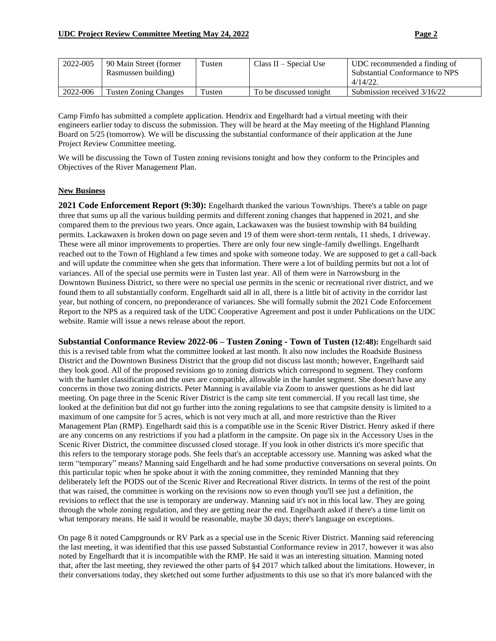| 2022-005 | 90 Main Street (former       | Tusten | Class $II - Special Use$ | UDC recommended a finding of   |
|----------|------------------------------|--------|--------------------------|--------------------------------|
|          | Rasmussen building)          |        |                          | Substantial Conformance to NPS |
|          |                              |        |                          | $4/14/22$ .                    |
| 2022-006 | <b>Tusten Zoning Changes</b> | Tusten | To be discussed tonight  | Submission received 3/16/22    |

Camp Fimfo has submitted a complete application. Hendrix and Engelhardt had a virtual meeting with their engineers earlier today to discuss the submission. They will be heard at the May meeting of the Highland Planning Board on 5/25 (tomorrow). We will be discussing the substantial conformance of their application at the June Project Review Committee meeting.

We will be discussing the Town of Tusten zoning revisions tonight and how they conform to the Principles and Objectives of the River Management Plan.

## **New Business**

**2021 Code Enforcement Report (9:30):** Engelhardt thanked the various Town/ships. There's a table on page three that sums up all the various building permits and different zoning changes that happened in 2021, and she compared them to the previous two years. Once again, Lackawaxen was the busiest township with 84 building permits. Lackawaxen is broken down on page seven and 19 of them were short-term rentals, 11 sheds, 1 driveway. These were all minor improvements to properties. There are only four new single-family dwellings. Engelhardt reached out to the Town of Highland a few times and spoke with someone today. We are supposed to get a call-back and will update the committee when she gets that information. There were a lot of building permits but not a lot of variances. All of the special use permits were in Tusten last year. All of them were in Narrowsburg in the Downtown Business District, so there were no special use permits in the scenic or recreational river district, and we found them to all substantially conform. Engelhardt said all in all, there is a little bit of activity in the corridor last year, but nothing of concern, no preponderance of variances. She will formally submit the 2021 Code Enforcement Report to the NPS as a required task of the UDC Cooperative Agreement and post it under Publications on the UDC website. Ramie will issue a news release about the report.

**Substantial Conformance Review 2022-06 – Tusten Zoning - Town of Tusten (12:48):** Engelhardt said this is a revised table from what the committee looked at last month. It also now includes the Roadside Business District and the Downtown Business District that the group did not discuss last month; however, Engelhardt said they look good. All of the proposed revisions go to zoning districts which correspond to segment. They conform with the hamlet classification and the uses are compatible, allowable in the hamlet segment. She doesn't have any concerns in those two zoning districts. Peter Manning is available via Zoom to answer questions as he did last meeting. On page three in the Scenic River District is the camp site tent commercial. If you recall last time, she looked at the definition but did not go further into the zoning regulations to see that campsite density is limited to a maximum of one campsite for 5 acres, which is not very much at all, and more restrictive than the River Management Plan (RMP). Engelhardt said this is a compatible use in the Scenic River District. Henry asked if there are any concerns on any restrictions if you had a platform in the campsite. On page six in the Accessory Uses in the Scenic River District, the committee discussed closed storage. If you look in other districts it's more specific that this refers to the temporary storage pods. She feels that's an acceptable accessory use. Manning was asked what the term "temporary" means? Manning said Engelhardt and he had some productive conversations on several points. On this particular topic when he spoke about it with the zoning committee, they reminded Manning that they deliberately left the PODS out of the Scenic River and Recreational River districts. In terms of the rest of the point that was raised, the committee is working on the revisions now so even though you'll see just a definition, the revisions to reflect that the use is temporary are underway. Manning said it's not in this local law. They are going through the whole zoning regulation, and they are getting near the end. Engelhardt asked if there's a time limit on what temporary means. He said it would be reasonable, maybe 30 days; there's language on exceptions.

On page 8 it noted Campgrounds or RV Park as a special use in the Scenic River District. Manning said referencing the last meeting, it was identified that this use passed Substantial Conformance review in 2017, however it was also noted by Engelhardt that it is incompatible with the RMP. He said it was an interesting situation. Manning noted that, after the last meeting, they reviewed the other parts of §4 2017 which talked about the limitations. However, in their conversations today, they sketched out some further adjustments to this use so that it's more balanced with the